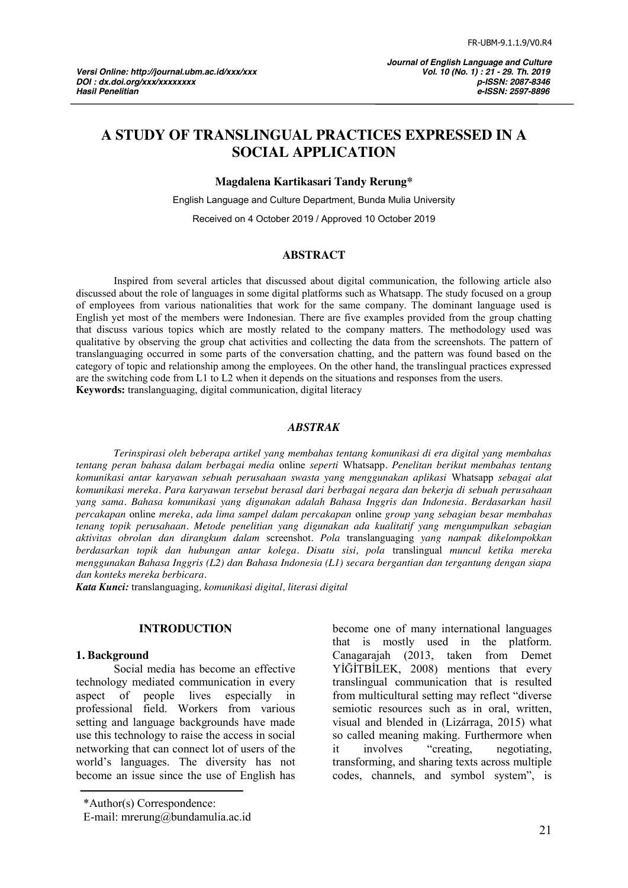# **A STUDY OF TRANSLINGUAL PRACTICES EXPRESSED IN A SOCIAL APPLICATION**

**Magdalena Kartikasari Tandy Rerung\***

English Language and Culture Department, Bunda Mulia University

Received on 4 October 2019 / Approved 10 October 2019

#### **ABSTRACT**

Inspired from several articles that discussed about digital communication, the following article also discussed about the role of languages in some digital platforms such as Whatsapp. The study focused on a group of employees from various nationalities that work for the same company. The dominant language used is English yet most of the members were Indonesian. There are five examples provided from the group chatting that discuss various topics which are mostly related to the company matters. The methodology used was qualitative by observing the group chat activities and collecting the data from the screenshots. The pattern of translanguaging occurred in some parts of the conversation chatting, and the pattern was found based on the category of topic and relationship among the employees. On the other hand, the translingual practices expressed are the switching code from L1 to L2 when it depends on the situations and responses from the users. **Keywords:** translanguaging, digital communication, digital literacy

#### *ABSTRAK*

*Terinspirasi oleh beberapa artikel yang membahas tentang komunikasi di era digital yang membahas tentang peran bahasa dalam berbagai media* online *seperti* Whatsapp*. Penelitan berikut membahas tentang komunikasi antar karyawan sebuah perusahaan swasta yang menggunakan aplikasi* Whatsapp *sebagai alat komunikasi mereka. Para karyawan tersebut berasal dari berbagai negara dan bekerja di sebuah perusahaan yang sama. Bahasa komunikasi yang digunakan adalah Bahasa Inggris dan Indonesia. Berdasarkan hasil percakapan* online *mereka, ada lima sampel dalam percakapan* online *group yang sebagian besar membahas tenang topik perusahaan. Metode penelitian yang digunakan ada kualitatif yang mengumpulkan sebagian aktivitas obrolan dan dirangkum dalam* screenshot*. Pola* translanguaging *yang nampak dikelompokkan berdasarkan topik dan hubungan antar kolega. Disatu sisi, pola* translingual *muncul ketika mereka menggunakan Bahasa Inggris (L2) dan Bahasa Indonesia (L1) secara bergantian dan tergantung dengan siapa dan konteks mereka berbicara.*

*Kata Kunci:* translanguaging*, komunikasi digital, literasi digital*

### **INTRODUCTION**

#### **1. Background**

Social media has become an effective technology mediated communication in every aspect of people lives especially in professional field. Workers from various setting and language backgrounds have made use this technology to raise the access in social networking that can connect lot of users of the world's languages. The diversity has not become an issue since the use of English has

become one of many international languages that is mostly used in the platform. Canagarajah (2013, taken from Demet YIGITBILEK, 2008) mentions that every translingual communication that is resulted from multicultural setting may reflect "diverse" semiotic resources such as in oral, written, visual and blended in (Lizárraga, 2015) what so called meaning making. Furthermore when it involves "creating, negotiating, transforming, and sharing texts across multiple codes, channels, and symbol system", is

<sup>\*</sup>Author(s) Correspondence:

E-mail: mrerung@bundamulia.ac.id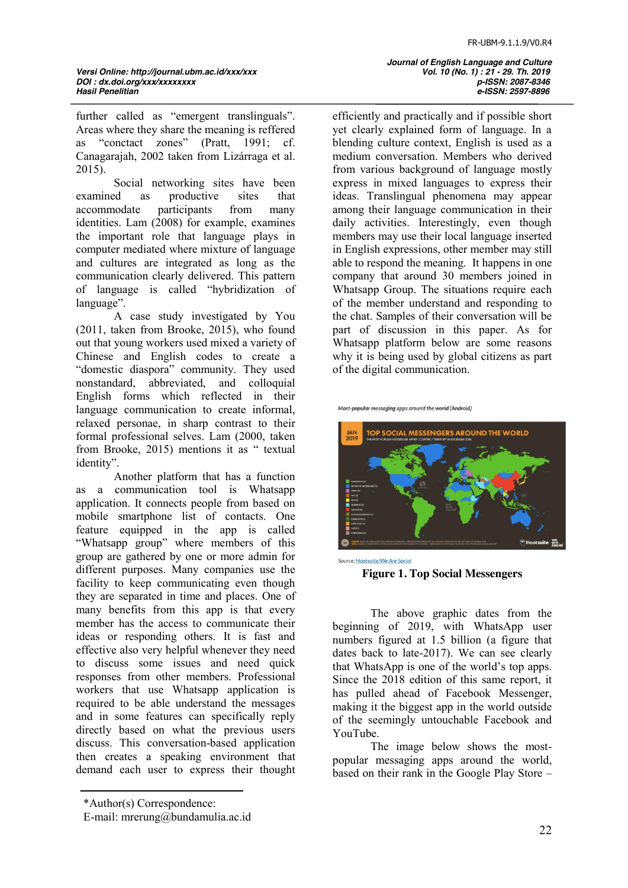further called as "emergent translinguals". Areas where they share the meaning is reffered as "conctact zones" (Pratt, 1991; cf. Canagarajah, 2002 taken from Lizárraga et al. 2015).

Social networking sites have been examined as productive sites that accommodate participants from many identities. Lam (2008) for example, examines the important role that language plays in computer mediated where mixture of language and cultures are integrated as long as the communication clearly delivered. This pattern of language is called "hybridization of language".

A case study investigated by You (2011, taken from Brooke, 2015), who found out that young workers used mixed a variety of Chinese and English codes to create a "domestic diaspora" community. They used nonstandard, abbreviated, and colloquial English forms which reflected in their language communication to create informal, relaxed personae, in sharp contrast to their formal professional selves. Lam (2000, taken from Brooke, 2015) mentions it as " textual identity".

Another platform that has a function as a communication tool is Whatsapp application. It connects people from based on mobile smartphone list of contacts. One feature equipped in the app is called "Whatsapp group" where members of this group are gathered by one or more admin for different purposes. Many companies use the facility to keep communicating even though they are separated in time and places. One of many benefits from this app is that every member has the access to communicate their ideas or responding others. It is fast and effective also very helpful whenever they need to discuss some issues and need quick responses from other members. Professional workers that use Whatsapp application is required to be able understand the messages and in some features can specifically reply directly based on what the previous users discuss. This conversation-based application then creates a speaking environment that demand each user to express their thought efficiently and practically and if possible short yet clearly explained form of language. In a blending culture context, English is used as a medium conversation. Members who derived from various background of language mostly express in mixed languages to express their ideas. Translingual phenomena may appear among their language communication in their daily activities. Interestingly, even though members may use their local language inserted in English expressions, other member may still able to respond the meaning. It happens in one company that around 30 members joined in Whatsapp Group. The situations require each of the member understand and responding to the chat. Samples of their conversation will be part of discussion in this paper. As for Whatsapp platform below are some reasons why it is being used by global citizens as part of the digital communication.

Most-popular messaging apps around the world (Android)





The above graphic dates from the beginning of 2019, with WhatsApp user numbers figured at 1.5 billion (a figure that dates back to late-2017). We can see clearly that WhatsApp is one of the world's top apps. Since the 2018 edition of this same report, it has pulled ahead of Facebook Messenger, making it the biggest app in the world outside of the seemingly untouchable Facebook and YouTube.

The image below shows the mostpopular messaging apps around the world, based on their rank in the Google Play Store –

*Journal of English Language and Culture Hasil Penelitian e-ISSN: 2597-8896*

<sup>\*</sup>Author(s) Correspondence:

E-mail: mrerung@bundamulia.ac.id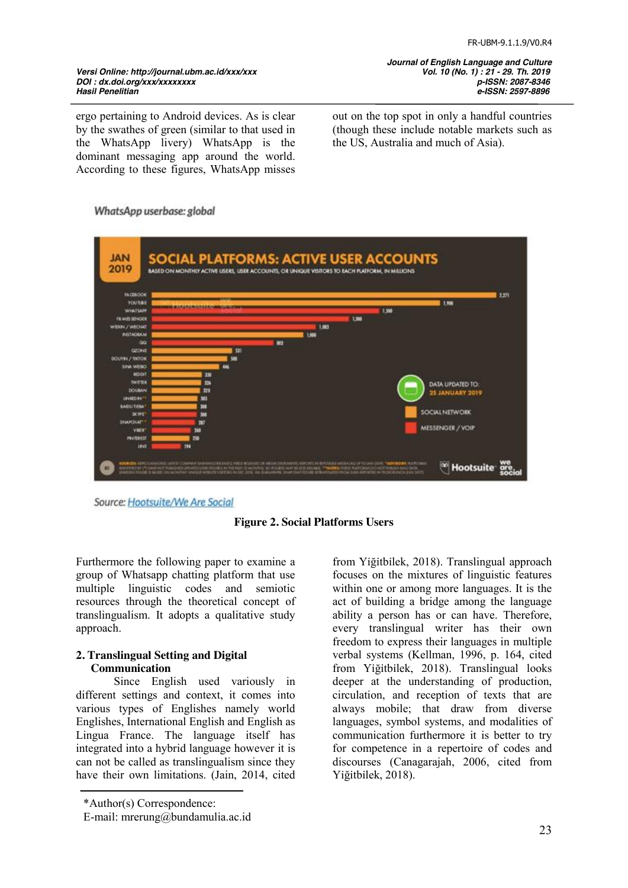*Journal of English Language and Culture Hasil Penelitian e-ISSN: 2597-8896*

ergo pertaining to Android devices. As is clear by the swathes of green (similar to that used in the WhatsApp livery) WhatsApp is the dominant messaging app around the world. According to these figures, WhatsApp misses

out on the top spot in only a handful countries (though these include notable markets such as the US, Australia and much of Asia).

### WhatsApp userbase: global



Source: Hootsuite/We Are Social



Furthermore the following paper to examine a group of Whatsapp chatting platform that use multiple linguistic codes and semiotic resources through the theoretical concept of translingualism. It adopts a qualitative study approach.

## **2. Translingual Setting and Digital Communication**

Since English used variously in different settings and context, it comes into various types of Englishes namely world Englishes, International English and English as Lingua France. The language itself has integrated into a hybrid language however it is can not be called as translingualism since they have their own limitations. (Jain, 2014, cited

\*Author(s) Correspondence:

from Yiğitbilek, 2018). Translingual approach focuses on the mixtures of linguistic features within one or among more languages. It is the act of building a bridge among the language ability a person has or can have. Therefore, every translingual writer has their own freedom to express their languages in multiple verbal systems (Kellman, 1996, p. 164, cited from Yiğitbilek, 2018). Translingual looks deeper at the understanding of production, circulation, and reception of texts that are always mobile; that draw from diverse languages, symbol systems, and modalities of communication furthermore it is better to try for competence in a repertoire of codes and discourses (Canagarajah, 2006, cited from Yiğitbilek, 2018).

E-mail: mrerung@bundamulia.ac.id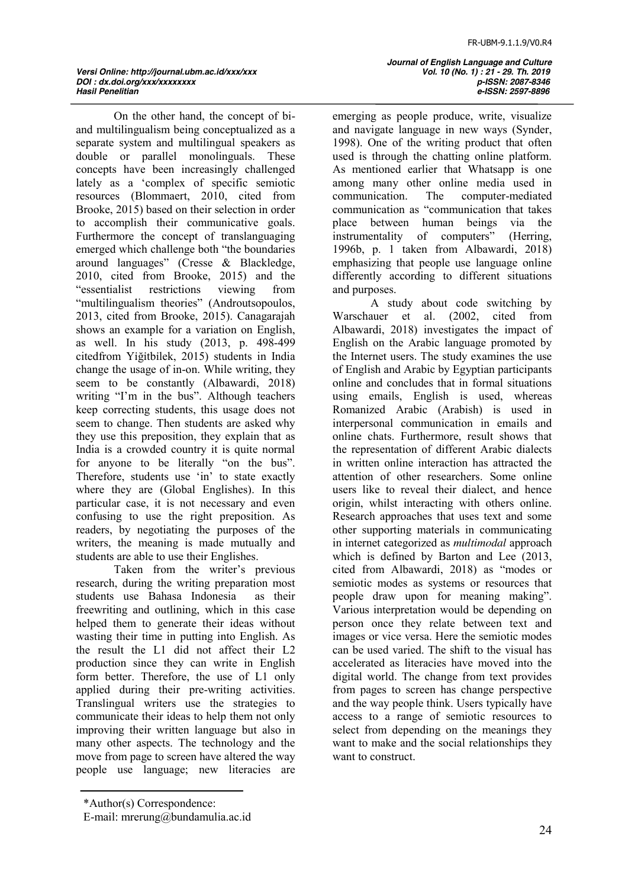On the other hand, the concept of biand multilingualism being conceptualized as a separate system and multilingual speakers as double or parallel monolinguals. These concepts have been increasingly challenged lately as a 'complex of specific semiotic resources (Blommaert, 2010, cited from Brooke, 2015) based on their selection in order to accomplish their communicative goals. Furthermore the concept of translanguaging emerged which challenge both "the boundaries" around languages" (Cresse  $\&$  Blackledge, 2010, cited from Brooke, 2015) and the "essentialist restrictions viewing from "multilingualism theories" (Androutsopoulos, 2013, cited from Brooke, 2015). Canagarajah shows an example for a variation on English, as well. In his study (2013, p. 498-499 citedfrom Yiğitbilek, 2015) students in India change the usage of in-on. While writing, they seem to be constantly (Albawardi, 2018) writing "I'm in the bus". Although teachers keep correcting students, this usage does not seem to change. Then students are asked why they use this preposition, they explain that as India is a crowded country it is quite normal for anyone to be literally "on the bus". Therefore, students use 'in' to state exactly where they are (Global Englishes). In this particular case, it is not necessary and even confusing to use the right preposition. As readers, by negotiating the purposes of the writers, the meaning is made mutually and students are able to use their Englishes.

Taken from the writer's previous research, during the writing preparation most students use Bahasa Indonesia as their freewriting and outlining, which in this case helped them to generate their ideas without wasting their time in putting into English. As the result the L1 did not affect their L2 production since they can write in English form better. Therefore, the use of L1 only applied during their pre-writing activities. Translingual writers use the strategies to communicate their ideas to help them not only improving their written language but also in many other aspects. The technology and the move from page to screen have altered the way people use language; new literacies are

 *Journal of English Language and Culture Hasil Penelitian e-ISSN: 2597-8896*

emerging as people produce, write, visualize and navigate language in new ways (Synder, 1998). One of the writing product that often used is through the chatting online platform. As mentioned earlier that Whatsapp is one among many other online media used in communication. The computer-mediated communication as "communication that takes place between human beings via the instrumentality of computers" (Herring, 1996b, p. 1 taken from Albawardi, 2018) emphasizing that people use language online differently according to different situations and purposes.

A study about code switching by Warschauer et al. (2002, cited from Albawardi, 2018) investigates the impact of English on the Arabic language promoted by the Internet users. The study examines the use of English and Arabic by Egyptian participants online and concludes that in formal situations using emails, English is used, whereas Romanized Arabic (Arabish) is used in interpersonal communication in emails and online chats. Furthermore, result shows that the representation of different Arabic dialects in written online interaction has attracted the attention of other researchers. Some online users like to reveal their dialect, and hence origin, whilst interacting with others online. Research approaches that uses text and some other supporting materials in communicating in internet categorized as *multimodal* approach which is defined by Barton and Lee (2013, cited from Albawardi, 2018) as "modes or semiotic modes as systems or resources that people draw upon for meaning making". Various interpretation would be depending on person once they relate between text and images or vice versa. Here the semiotic modes can be used varied. The shift to the visual has accelerated as literacies have moved into the digital world. The change from text provides from pages to screen has change perspective and the way people think. Users typically have access to a range of semiotic resources to select from depending on the meanings they want to make and the social relationships they want to construct.

<sup>\*</sup>Author(s) Correspondence:

E-mail: mrerung@bundamulia.ac.id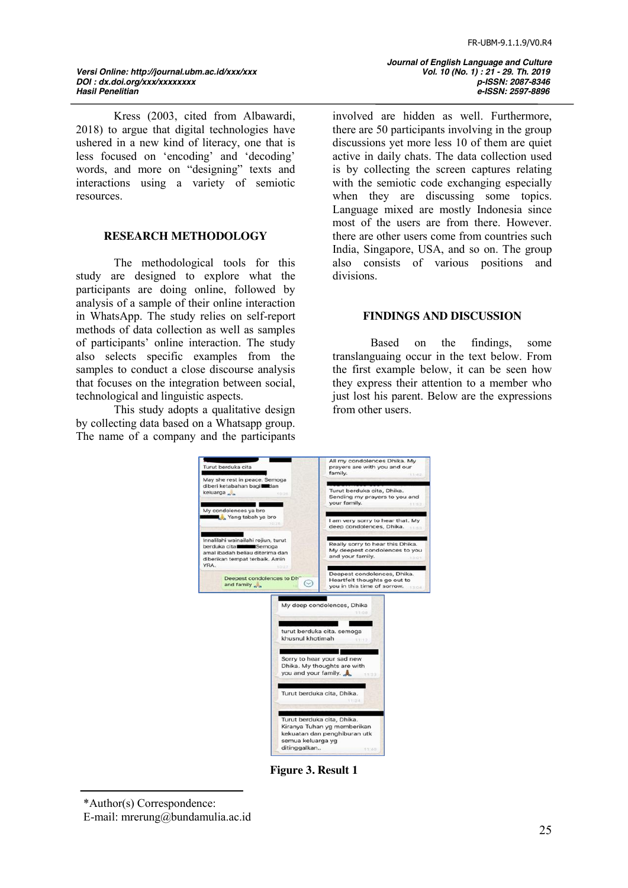# *Versi Online: http://journal.ubm.ac.id/xxx/xxx Vol. 10 (No. 1) : 21 - 29. Th. 2019 DOI : dx.doi.org/xxx/xxxxxxxxxxxxxx*<br>Hasil Penelitian

Kress (2003, cited from Albawardi, 2018) to argue that digital technologies have ushered in a new kind of literacy, one that is less focused on 'encoding' and 'decoding' words, and more on "designing" texts and interactions using a variety of semiotic resources.

### **RESEARCH METHODOLOGY**

The methodological tools for this study are designed to explore what the participants are doing online, followed by analysis of a sample of their online interaction in WhatsApp. The study relies on self-report methods of data collection as well as samples of participants' online interaction. The study also selects specific examples from the samples to conduct a close discourse analysis that focuses on the integration between social, technological and linguistic aspects.

This study adopts a qualitative design by collecting data based on a Whatsapp group. The name of a company and the participants  *Journal of English Language and Culture Hasil Penelitian e-ISSN: 2597-8896*

involved are hidden as well. Furthermore, there are 50 participants involving in the group discussions yet more less 10 of them are quiet active in daily chats. The data collection used is by collecting the screen captures relating with the semiotic code exchanging especially when they are discussing some topics. Language mixed are mostly Indonesia since most of the users are from there. However. there are other users come from countries such India, Singapore, USA, and so on. The group also consists of various positions and divisions.

### **FINDINGS AND DISCUSSION**

Based on the findings, some translanguaing occur in the text below. From the first example below, it can be seen how they express their attention to a member who just lost his parent. Below are the expressions from other users.



**Figure 3. Result 1**

<sup>\*</sup>Author(s) Correspondence:

E-mail: mrerung@bundamulia.ac.id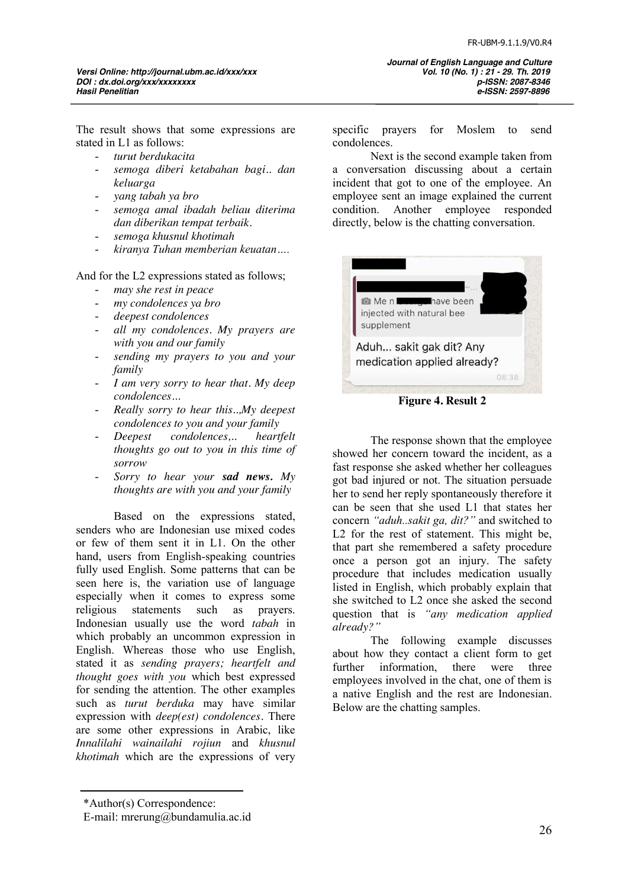The result shows that some expressions are stated in L1 as follows:

- *turut berdukacita*
- *semoga diberi ketabahan bagi.. dan keluarga*
- *yang tabah ya bro*
- *semoga amal ibadah beliau diterima dan diberikan tempat terbaik.*
- *semoga khusnul khotimah*
- *kiranya Tuhan memberian keuatan….*

And for the L2 expressions stated as follows;

- *may she rest in peace*
- *my condolences ya bro*
- *deepest condolences*
- *all my condolences. My prayers are with you and our family*
- *sending my prayers to you and your family*
- *I am very sorry to hear that. My deep condolences…*
- *Really sorry to hear this..,My deepest condolences to you and your family*
- *Deepest condolences,.. heartfelt thoughts go out to you in this time of sorrow*
- *Sorry to hear your sad news. My thoughts are with you and your family*

Based on the expressions stated, senders who are Indonesian use mixed codes or few of them sent it in L1. On the other hand, users from English-speaking countries fully used English. Some patterns that can be seen here is, the variation use of language especially when it comes to express some religious statements such as prayers. Indonesian usually use the word *tabah* in which probably an uncommon expression in English. Whereas those who use English, stated it as *sending prayers; heartfelt and thought goes with you* which best expressed for sending the attention. The other examples such as *turut berduka* may have similar expression with *deep(est) condolences.* There are some other expressions in Arabic, like *Innalilahi wainailahi rojiun* and *khusnul khotimah* which are the expressions of very

specific prayers for Moslem to send condolences.

Next is the second example taken from a conversation discussing about a certain incident that got to one of the employee. An employee sent an image explained the current condition. Another employee responded directly, below is the chatting conversation.



**Figure 4. Result 2**

The response shown that the employee showed her concern toward the incident, as a fast response she asked whether her colleagues got bad injured or not. The situation persuade her to send her reply spontaneously therefore it can be seen that she used L1 that states her concern *"aduh..sakit ga, dit?"* and switched to L2 for the rest of statement. This might be, that part she remembered a safety procedure once a person got an injury. The safety procedure that includes medication usually listed in English, which probably explain that she switched to L2 once she asked the second question that is *"any medication applied already?"*

The following example discusses about how they contact a client form to get further information, there were three employees involved in the chat, one of them is a native English and the rest are Indonesian. Below are the chatting samples.

<sup>\*</sup>Author(s) Correspondence:

E-mail: mrerung@bundamulia.ac.id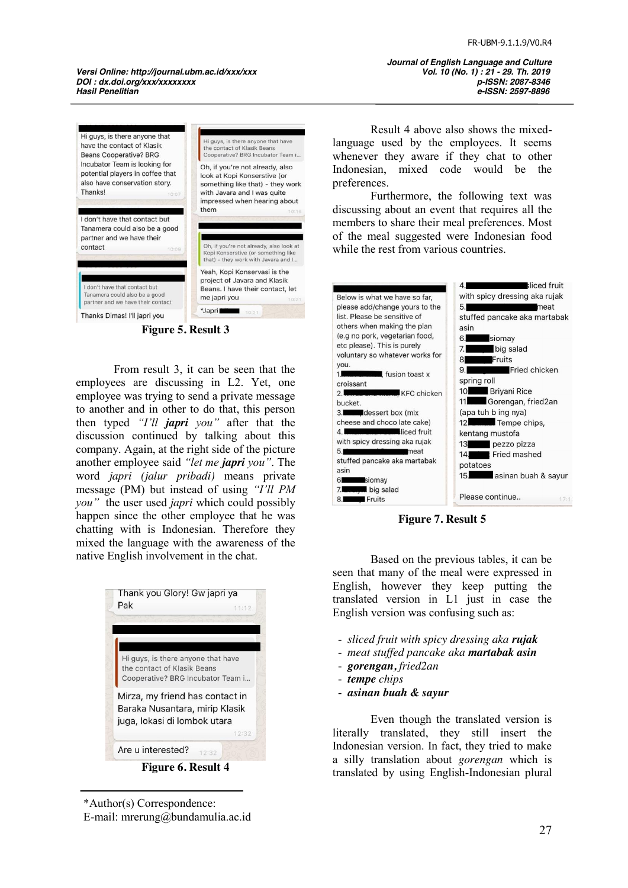*Versi Online: http://journal.ubm.ac.id/xxx/xxx Vol. 10 (No. 1) : 21 - 29. Th. 2019 DOI : dx.doi.org/xxx/xxxxxxxxxxxxxx*<br>Hasil Penelitian



**Figure 5. Result 3**

From result 3, it can be seen that the employees are discussing in L2. Yet, one employee was trying to send a private message to another and in other to do that, this person then typed *"I'll japri you"* after that the discussion continued by talking about this company. Again, at the right side of the picture another employee said *"let me japri you"*. The word *japri (jalur pribadi)* means private message (PM) but instead of using *"I'll PM you"* the user used *japri* which could possibly happen since the other employee that he was chatting with is Indonesian. Therefore they mixed the language with the awareness of the native English involvement in the chat.

| Thank you Glory! Gw japri ya       |       |
|------------------------------------|-------|
| Pak                                | 11:12 |
|                                    |       |
|                                    |       |
|                                    |       |
| Hi guys, is there anyone that have |       |
| the contact of Klasik Beans        |       |
| Cooperative? BRG Incubator Team i  |       |
| Mirza, my friend has contact in    |       |
| Baraka Nusantara, mirip Klasik     |       |
| juga, lokasi di lombok utara       |       |
|                                    | 12:32 |
|                                    |       |
| Are u interested?<br>12:32         |       |

**Figure 6. Result 4**

\*Author(s) Correspondence: E-mail: mrerung@bundamulia.ac.id  *Journal of English Language and Culture Hasil Penelitian e-ISSN: 2597-8896*

Result 4 above also shows the mixedlanguage used by the employees. It seems whenever they aware if they chat to other Indonesian, mixed code would be the preferences.

Furthermore, the following text was discussing about an event that requires all the members to share their meal preferences. Most of the meal suggested were Indonesian food while the rest from various countries.

|                                                                | 4.<br>sliced fruit                     |
|----------------------------------------------------------------|----------------------------------------|
| Below is what we have so far,                                  | with spicy dressing aka rujak          |
| please add/change yours to the                                 | 5.I<br>meat                            |
| list. Please be sensitive of                                   | stuffed pancake aka martabak           |
| others when making the plan                                    | asin                                   |
| (e.g no pork, vegetarian food,                                 | 6.<br>siomay                           |
| etc please). This is purely                                    | big salad<br>7. I                      |
| voluntary so whatever works for                                | Fruits<br>8                            |
| you.                                                           | <b>Fried chicken</b><br>9.1            |
| tusion toast x<br>croissant                                    | spring roll                            |
| <b>KFC</b> chicken                                             | 10. Briyani Rice                       |
| bucket.                                                        | 11. Gorengan, fried2an                 |
| 3. <b>dessert</b> box (mix                                     | (apa tuh b ing nya)                    |
| cheese and choco late cake)                                    | Tempe chips,<br>12 <sub>1</sub>        |
| <b>Expression and Second Structure of Fruit</b><br>4.1         | kentang mustofa                        |
| with spicy dressing aka rujak                                  | pezzo pizza<br>13 —                    |
| 5.1<br>meat<br>the contract of the contract of the contract of |                                        |
| stuffed pancake aka martabak                                   | Fried mashed<br>14                     |
| asin                                                           | potatoes                               |
| siomay<br>61                                                   | asinan buah & sayur<br>15 <sub>1</sub> |
| big salad<br>7.                                                |                                        |
| Fruits<br>8.                                                   | Please continue<br>17:1                |
|                                                                |                                        |

**Figure 7. Result 5**

Based on the previous tables, it can be seen that many of the meal were expressed in English, however they keep putting the translated version in L1 just in case the English version was confusing such as:

- *sliced fruit with spicy dressing aka rujak*
- *meat stuffed pancake aka martabak asin*
- *gorengan, fried2an*
- *tempe chips*
- *asinan buah & sayur*

Even though the translated version is literally translated, they still insert the Indonesian version. In fact, they tried to make a silly translation about *gorengan* which is translated by using English-Indonesian plural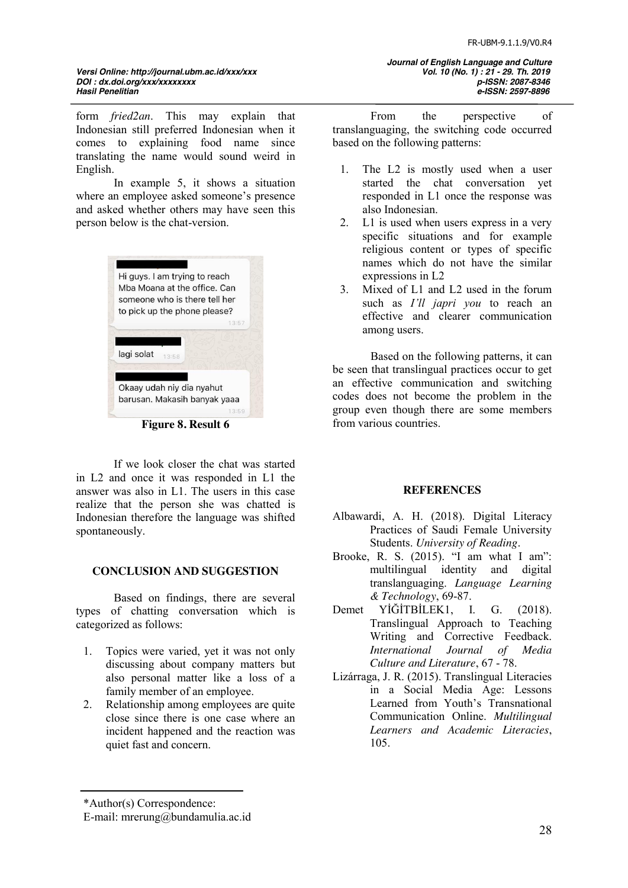# *Versi Online: http://journal.ubm.ac.id/xxx/xxx Vol. 10 (No. 1) : 21 - 29. Th. 2019 DOI : dx.doi.org/xxx/xxxxxxxx p-ISSN: 2087-8346*

form *fried2an*. This may explain that Indonesian still preferred Indonesian when it comes to explaining food name since translating the name would sound weird in English.

In example 5, it shows a situation where an employee asked someone's presence and asked whether others may have seen this person below is the chat-version.



**Figure 8. Result 6**

If we look closer the chat was started in L2 and once it was responded in L1 the answer was also in L1. The users in this case realize that the person she was chatted is Indonesian therefore the language was shifted spontaneously.

# **CONCLUSION AND SUGGESTION**

Based on findings, there are several types of chatting conversation which is categorized as follows:

- 1. Topics were varied, yet it was not only discussing about company matters but also personal matter like a loss of a family member of an employee.
- 2. Relationship among employees are quite close since there is one case where an incident happened and the reaction was quiet fast and concern.

From the perspective of translanguaging, the switching code occurred based on the following patterns:

- 1. The L2 is mostly used when a user started the chat conversation yet responded in L1 once the response was also Indonesian.
- 2. L1 is used when users express in a very specific situations and for example religious content or types of specific names which do not have the similar expressions in L2
- 3. Mixed of L1 and L2 used in the forum such as *I'll japri you* to reach an effective and clearer communication among users.

Based on the following patterns, it can be seen that translingual practices occur to get an effective communication and switching codes does not become the problem in the group even though there are some members from various countries.

### **REFERENCES**

- Albawardi, A. H. (2018). Digital Literacy Practices of Saudi Female University Students. *University of Reading*.
- Brooke, R. S. (2015). "I am what I am": multilingual identity and digital translanguaging. *Language Learning & Technology*, 69-87.
- Demet YIĞİTBİLEK1, I. G. (2018). Translingual Approach to Teaching Writing and Corrective Feedback. *International Journal of Media Culture and Literature*, 67 - 78.
- Lizárraga, J. R. (2015). Translingual Literacies in a Social Media Age: Lessons Learned from Youth's Transnational Communication Online. *Multilingual Learners and Academic Literacies*, 105.

<sup>\*</sup>Author(s) Correspondence:

E-mail: mrerung@bundamulia.ac.id